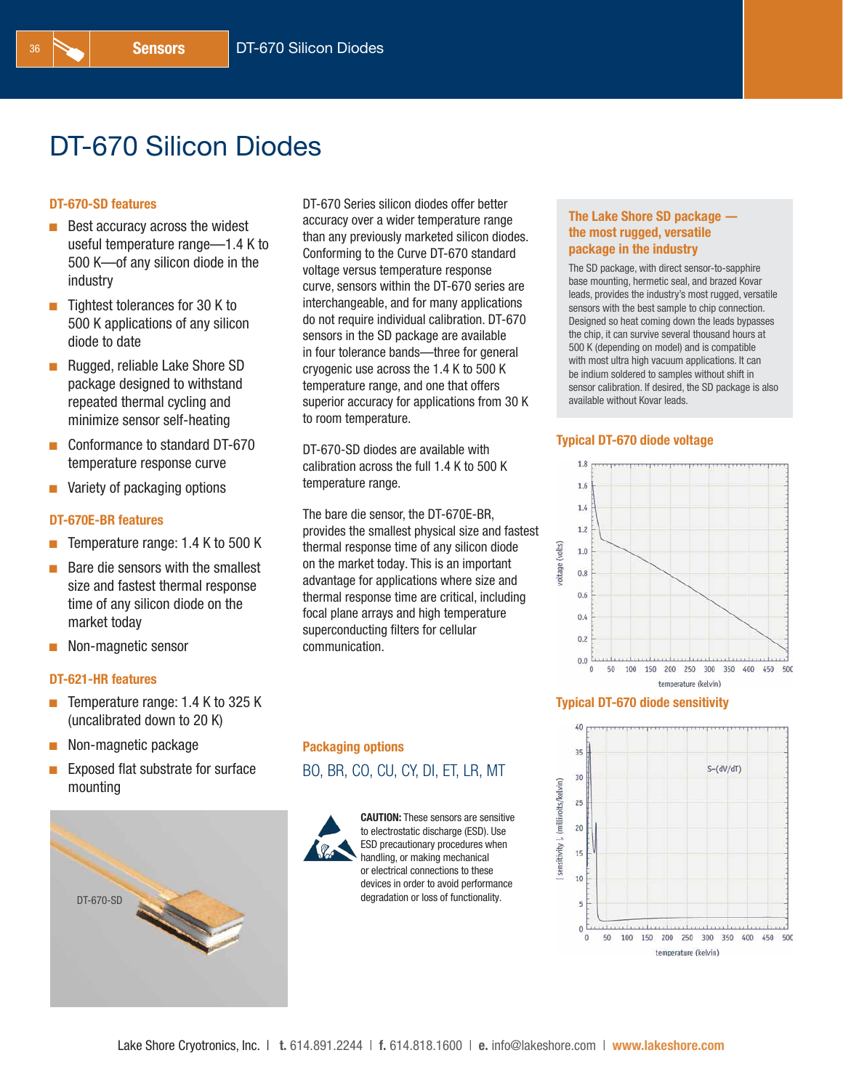# DT-670 Silicon Diodes

### DT-670-SD features

- $\blacksquare$  Best accuracy across the widest useful temperature range—1.4 K to 500 K—of any silicon diode in the industry
- $\blacksquare$  Tightest tolerances for 30 K to 500 K applications of any silicon diode to date
- Rugged, reliable Lake Shore SD package designed to withstand repeated thermal cycling and minimize sensor self-heating
- Conformance to standard DT-670 temperature response curve
- $\blacksquare$  Variety of packaging options

### DT-670E-BR features

- Temperature range: 1.4 K to 500 K
- Bare die sensors with the smallest size and fastest thermal response time of any silicon diode on the market today
- $\blacksquare$  Non-magnetic sensor

### DT-621-HR features

- $\blacksquare$  Temperature range: 1.4 K to 325 K (uncalibrated down to 20 K)
- $\blacksquare$  Non-magnetic package
- $\blacksquare$  Exposed flat substrate for surface mounting



DT-670 Series silicon diodes offer better accuracy over a wider temperature range than any previously marketed silicon diodes. Conforming to the Curve DT-670 standard voltage versus temperature response curve, sensors within the DT-670 series are interchangeable, and for many applications do not require individual calibration. DT-670 sensors in the SD package are available in four tolerance bands—three for general cryogenic use across the 1.4 K to 500 K temperature range, and one that offers superior accuracy for applications from 30 K to room temperature.

DT-670-SD diodes are available with calibration across the full 1.4 K to 500 K temperature range.

The bare die sensor, the DT-670E-BR, provides the smallest physical size and fastest thermal response time of any silicon diode on the market today. This is an important advantage for applications where size and thermal response time are critical, including focal plane arrays and high temperature superconducting filters for cellular communication.

### The Lake Shore SD package the most rugged, versatile package in the industry

The SD package, with direct sensor-to-sapphire base mounting, hermetic seal, and brazed Kovar leads, provides the industry's most rugged, versatile sensors with the best sample to chip connection. Designed so heat coming down the leads bypasses the chip, it can survive several thousand hours at 500 K (depending on model) and is compatible with most ultra high vacuum applications. It can be indium soldered to samples without shift in sensor calibration. If desired, the SD package is also available without Kovar leads.

### Typical DT-670 diode voltage



### Typical DT-670 diode sensitivity



## Packaging options BO, BR, CO, CU, CY, DI, ET, LR, MT



CAUTION: These sensors are sensitive to electrostatic discharge (ESD). Use ESD precautionary procedures when handling, or making mechanical or electrical connections to these devices in order to avoid performance degradation or loss of functionality.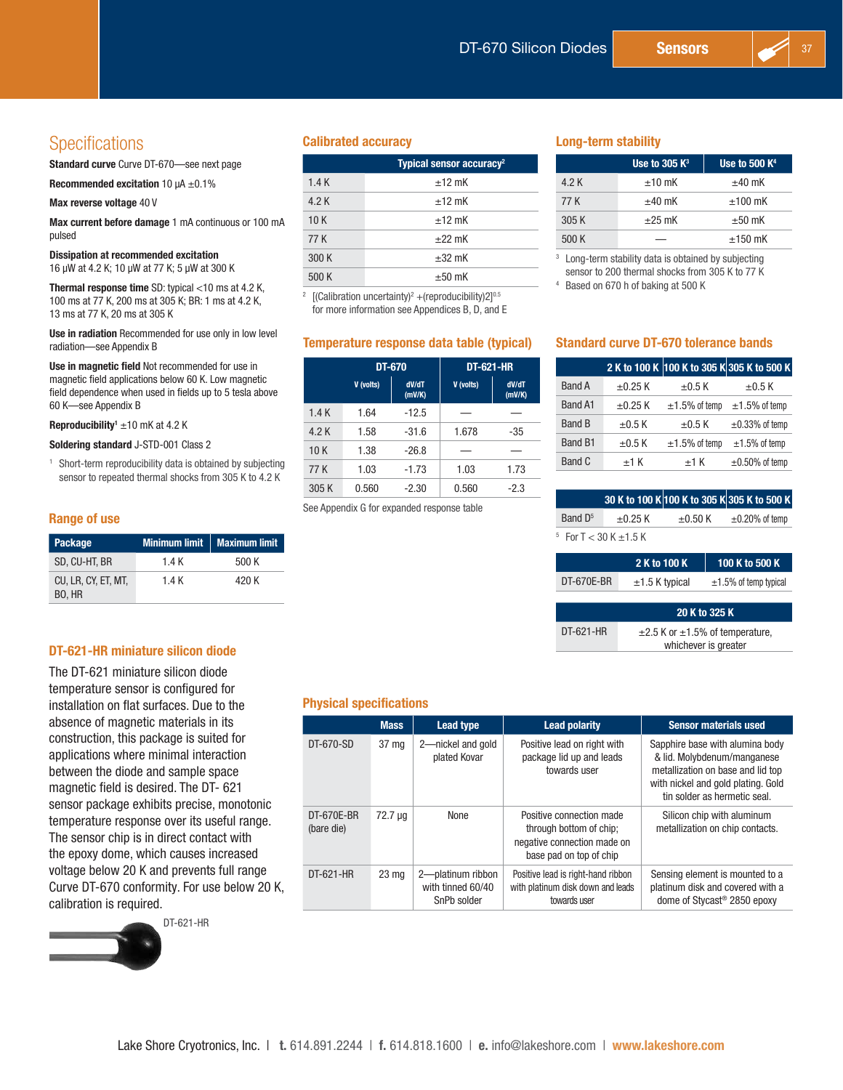# **Specifications**

Standard curve Curve DT-670—see next page

Recommended excitation 10  $\mu$ A  $\pm$ 0.1%

Max reverse voltage 40 V

Max current before damage 1 mA continuous or 100 mA pulsed

Dissipation at recommended excitation

16 µW at 4.2 K; 10 µW at 77 K; 5 µW at 300 K

Thermal response time SD: typical <10 ms at 4.2 K, 100 ms at 77 K, 200 ms at 305 K; BR: 1 ms at 4.2 K, 13 ms at 77 K, 20 ms at 305 K

Use in radiation Recommended for use only in low level radiation—see Appendix B

Use in magnetic field Not recommended for use in magnetic field applications below 60 K. Low magnetic field dependence when used in fields up to 5 tesla above 60 K—see Appendix B

**Reproducibility'**  $\pm 10$  mK at 4.2 K

Soldering standard J-STD-001 Class 2

<sup>1</sup> Short-term reproducibility data is obtained by subjecting sensor to repeated thermal shocks from 305 K to 4.2 K

### Range of use

| Package                       |       | Minimum limit   Maximum limit |
|-------------------------------|-------|-------------------------------|
| SD, CU-HT, BR                 | 1.4 K | 500 K                         |
| CU, LR, CY, ET, MT,<br>BO, HR | 1.4 K | 420 K                         |

### DT-621-HR miniature silicon diode

The DT-621 miniature silicon diode temperature sensor is configured for installation on flat surfaces. Due to the absence of magnetic materials in its construction, this package is suited for applications where minimal interaction between the diode and sample space magnetic field is desired. The DT- 621 sensor package exhibits precise, monotonic temperature response over its useful range. The sensor chip is in direct contact with the epoxy dome, which causes increased voltage below 20 K and prevents full range Curve DT-670 conformity. For use below 20 K, calibration is required.

DT-621-HR

### Calibrated accuracy and the control control control control control control control control control control control control control control control control control control control control control control control control co

|       | Typical sensor accuracy <sup>2</sup> |
|-------|--------------------------------------|
| 1.4K  | $±12$ mK                             |
| 4.2 K | $±12$ mK                             |
| 10K   | $+12$ mK                             |
| 77 K  | $+22$ mK                             |
| 300 K | $\pm 32$ mK                          |
| 500 K | $\pm 50$ mK                          |

<sup>2</sup> [(Calibration uncertainty)<sup>2</sup> + (reproducibility)2]<sup>0.5</sup> for more information see Appendices B, D, and E

### Temperature response data table (typical)

|       | DT-670    |                 | <b>DT-621-HR</b> |                 |
|-------|-----------|-----------------|------------------|-----------------|
|       | V (volts) | dV/dT<br>(mV/K) | V (volts)        | dV/dT<br>(mV/K) |
| 1.4K  | 1.64      | $-12.5$         |                  |                 |
| 4.2 K | 1.58      | $-31.6$         | 1.678            | -35             |
| 10K   | 1.38      | $-26.8$         |                  |                 |
| 77 K  | 1.03      | $-1.73$         | 1.03             | 1.73            |
| 305 K | 0.560     | $-2.30$         | 0.560            | $-2.3$          |

See Appendix G for expanded response table

|       | Use to 305 $K^3$ | Use to 500 $K4$ |
|-------|------------------|-----------------|
| 4.2 K | $±10$ mK         | $\pm 40$ mK     |
| 77 K  | $\pm 40$ mK      | $±100$ mK       |
| 305K  | $+25$ mK         | $\pm 50$ mK     |
| 500 K |                  | $+150$ mK       |

Long-term stability data is obtained by subjecting sensor to 200 thermal shocks from 305 K to 77 K

<sup>4</sup> Based on 670 h of baking at 500 K

### Standard curve DT-670 tolerance bands

|                |              |                     | 2 K to 100 K 100 K to 305 K 305 K to 500 K |
|----------------|--------------|---------------------|--------------------------------------------|
| <b>Band A</b>  | $\pm 0.25$ K | $\pm 0.5$ K         | $\pm 0.5$ K                                |
| <b>Band A1</b> | $\pm 0.25$ K | $\pm 1.5\%$ of temp | $\pm 1.5\%$ of temp                        |
| <b>Band B</b>  | $\pm 0.5$ K  | $\pm 0.5$ K         | $\pm 0.33\%$ of temp                       |
| Band B1        | $\pm 0.5$ K  | $\pm 1.5\%$ of temp | $\pm 1.5\%$ of temp                        |
| Band C         | $±1$ K       | $±1$ K              | $\pm 0.50\%$ of temp                       |

|                                |                 |              | 30 K to 100 K 100 K to 305 K 305 K to 500 K |
|--------------------------------|-----------------|--------------|---------------------------------------------|
| Band $D5$<br>$\pm 0.25$ K      |                 | $\pm 0.50$ K | $\pm 0.20\%$ of temp                        |
| $5$ For T $<$ 30 K $\pm$ 1.5 K |                 |              |                                             |
|                                | <b>AUL JAAU</b> |              | $10011 - 0011$                              |

|            | 2 K to 100 K     | $\sqrt{100}$ K to 500 K $\Delta$ |
|------------|------------------|----------------------------------|
| DT-670E-BR | $±1.5$ K typical | $±1.5%$ of temp typical          |
|            |                  |                                  |

|           | 20 K to 325 K                              |
|-----------|--------------------------------------------|
| DT-621-HR | $\pm 2.5$ K or $\pm 1.5$ % of temperature, |
|           | whichever is greater                       |

### Physical specifications

|                          | <b>Mass</b>      | <b>Lead type</b>                                      | <b>Lead polarity</b>                                                                                          | <b>Sensor materials used</b>                                                                                                                                              |
|--------------------------|------------------|-------------------------------------------------------|---------------------------------------------------------------------------------------------------------------|---------------------------------------------------------------------------------------------------------------------------------------------------------------------------|
| DT-670-SD                | 37 mg            | 2-nickel and gold<br>plated Kovar                     | Positive lead on right with<br>package lid up and leads<br>towards user                                       | Sapphire base with alumina body<br>& lid. Molvbdenum/manganese<br>metallization on base and lid top<br>with nickel and gold plating. Gold<br>tin solder as hermetic seal. |
| DT-670E-BR<br>(bare die) | 72.7 µg          | None                                                  | Positive connection made<br>through bottom of chip:<br>negative connection made on<br>base pad on top of chip | Silicon chip with aluminum<br>metallization on chip contacts.                                                                                                             |
| DT-621-HR                | 23 <sub>mg</sub> | 2-platinum ribbon<br>with tinned 60/40<br>SnPb solder | Positive lead is right-hand ribbon<br>with platinum disk down and leads<br>towards user                       | Sensing element is mounted to a<br>platinum disk and covered with a<br>dome of Stycast <sup>®</sup> 2850 epoxy                                                            |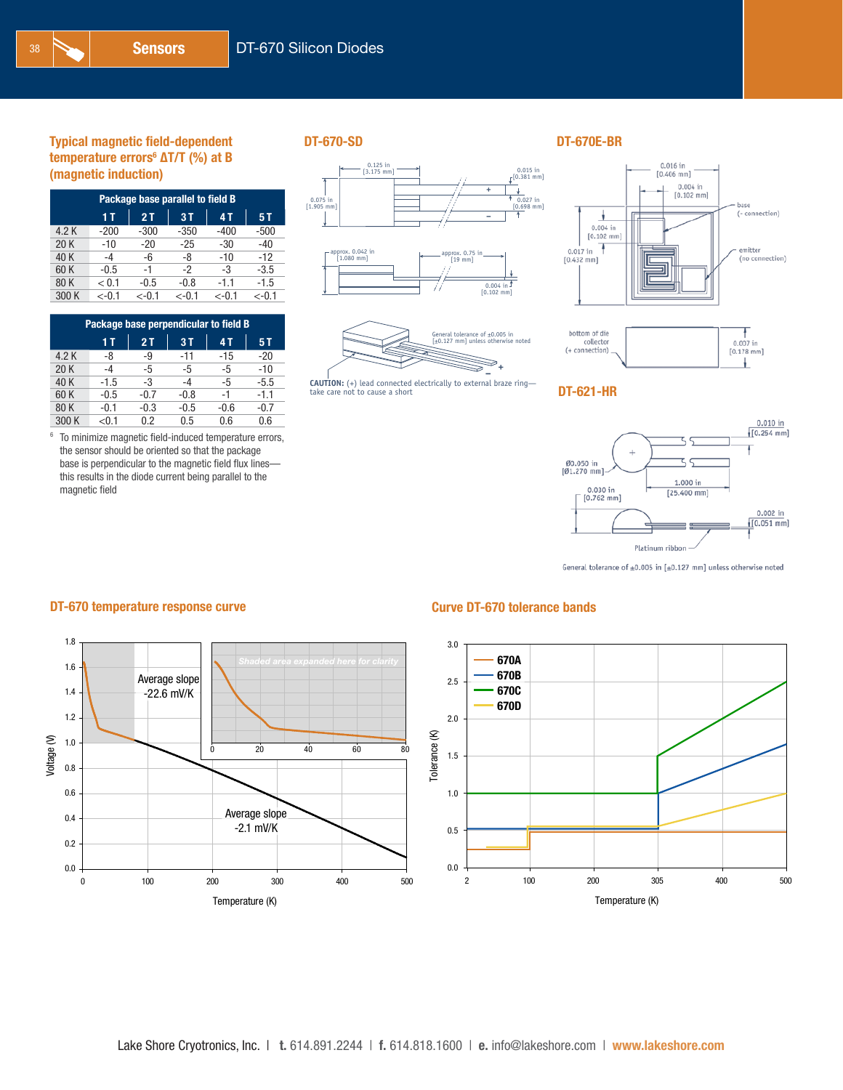| Package base parallel to field B |         |         |          |          |          |  |  |  |  |
|----------------------------------|---------|---------|----------|----------|----------|--|--|--|--|
| 2T<br>3T<br>1 T<br>4 T<br>5 T    |         |         |          |          |          |  |  |  |  |
| 4.2 K                            | $-200$  | $-300$  | $-350$   | $-400$   | $-500$   |  |  |  |  |
| 20K                              | $-10$   | $-20$   | $-25$    | -30      | $-40$    |  |  |  |  |
| 40 K                             | -4      | -6      | -8       | $-10$    | $-12$    |  |  |  |  |
| 60 K                             | $-0.5$  | -1      | -2       | -3       | $-3.5$   |  |  |  |  |
| 80K                              | < 0.1   | $-0.5$  | $-0.8$   | $-1.1$   | $-1.5$   |  |  |  |  |
| 300 K                            | $<-0.1$ | $<-0.1$ | $< -0.1$ | $< -0.1$ | $< -0.1$ |  |  |  |  |

| Package base perpendicular to field B |        |        |        |        |        |  |  |  |  |
|---------------------------------------|--------|--------|--------|--------|--------|--|--|--|--|
| 3T<br>1 T<br>2T<br>4 T<br>5 T         |        |        |        |        |        |  |  |  |  |
| 4.2 K                                 | -8     | -9     | $-11$  | -15    | $-20$  |  |  |  |  |
| 20K                                   | -4     | -5     | -5     | -5     | $-10$  |  |  |  |  |
| 40 K                                  | $-1.5$ | -3     | $-4$   | -5     | $-5.5$ |  |  |  |  |
| 60 K                                  | $-0.5$ | $-0.7$ | $-0.8$ | -1     | $-1.1$ |  |  |  |  |
| 80 K                                  | $-0.1$ | $-0.3$ | $-0.5$ | $-0.6$ | $-0.7$ |  |  |  |  |
| 300 K                                 | < 0.1  | 0.2    | 0.5    | 0.6    | 0.6    |  |  |  |  |

<sup>6</sup> To minimize magnetic field-induced temperature errors, the sensor should be oriented so that the package base is perpendicular to the magnetic field flux lines this results in the diode current being parallel to the magnetic field







**– CAUTION:** (+) lead connected electrically to external braze ring— take care not to cause a short



ł.





General tolerance of  $\pm 0.005$  in [ $\pm 0.127$  mm] unless otherwise noted

### DT-670 temperature response curve Curve Curve DT-670 tolerance bands

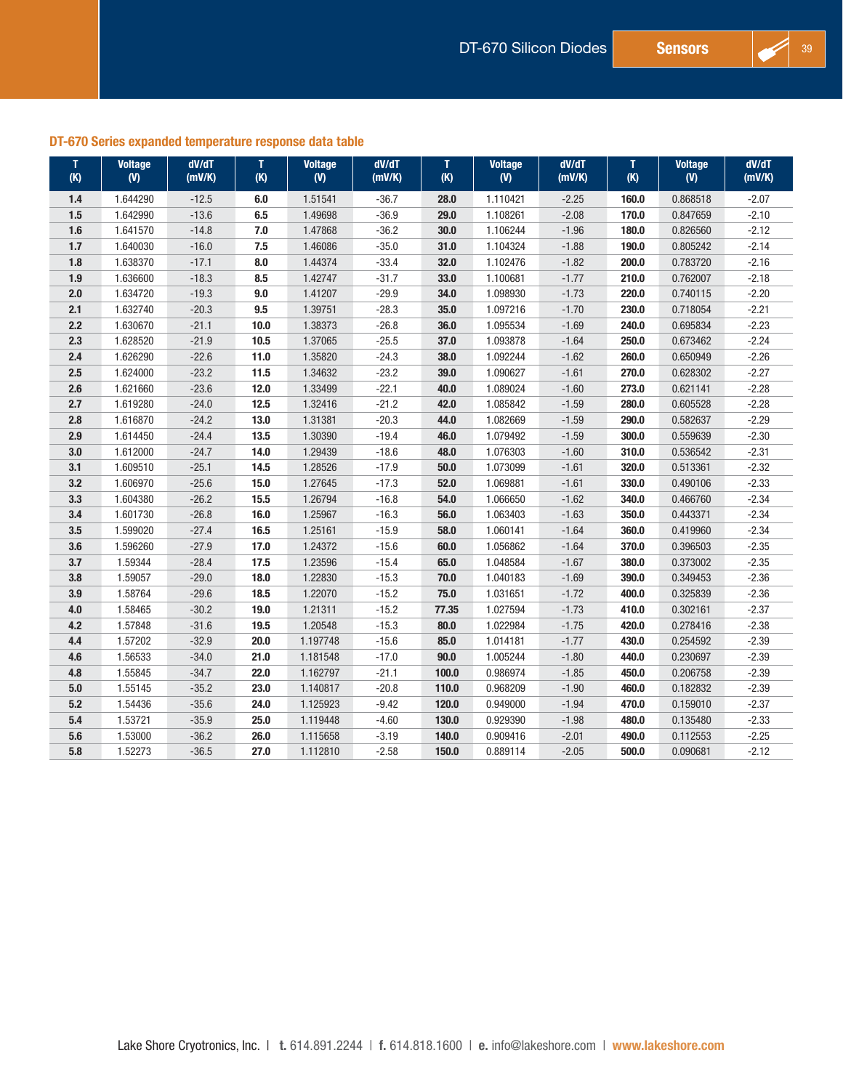### DT-670 Series expanded temperature response data table

| T<br>(K) | <b>Voltage</b><br>(V) | dV/dT<br>(mV/K) | T<br>(K) | <b>Voltage</b><br>(V) | dV/dT<br>(mV/K) | T<br>(K) | <b>Voltage</b><br>(V) | dV/dT<br>(mV/K) | т<br>(K) | <b>Voltage</b><br>(V) | dV/dT<br>(mV/K) |
|----------|-----------------------|-----------------|----------|-----------------------|-----------------|----------|-----------------------|-----------------|----------|-----------------------|-----------------|
| $1.4$    | 1.644290              | $-12.5$         | $6.0\,$  | 1.51541               | $-36.7$         | 28.0     | 1.110421              | $-2.25$         | 160.0    | 0.868518              | $-2.07$         |
| 1.5      | 1.642990              | $-13.6$         | 6.5      | 1.49698               | $-36.9$         | 29.0     | 1.108261              | $-2.08$         | 170.0    | 0.847659              | $-2.10$         |
| 1.6      | 1.641570              | $-14.8$         | 7.0      | 1.47868               | $-36.2$         | 30.0     | 1.106244              | $-1.96$         | 180.0    | 0.826560              | $-2.12$         |
| $1.7$    | 1.640030              | $-16.0$         | 7.5      | 1.46086               | $-35.0$         | 31.0     | 1.104324              | $-1.88$         | 190.0    | 0.805242              | $-2.14$         |
| 1.8      | 1.638370              | $-17.1$         | 8.0      | 1.44374               | $-33.4$         | 32.0     | 1.102476              | $-1.82$         | 200.0    | 0.783720              | $-2.16$         |
| 1.9      | 1.636600              | $-18.3$         | 8.5      | 1.42747               | $-31.7$         | 33.0     | 1.100681              | $-1.77$         | 210.0    | 0.762007              | $-2.18$         |
| 2.0      | 1.634720              | $-19.3$         | 9.0      | 1.41207               | $-29.9$         | 34.0     | 1.098930              | $-1.73$         | 220.0    | 0.740115              | $-2.20$         |
| 2.1      | 1.632740              | $-20.3$         | 9.5      | 1.39751               | $-28.3$         | 35.0     | 1.097216              | $-1.70$         | 230.0    | 0.718054              | $-2.21$         |
| $2.2$    | 1.630670              | $-21.1$         | 10.0     | 1.38373               | $-26.8$         | 36.0     | 1.095534              | $-1.69$         | 240.0    | 0.695834              | $-2.23$         |
| 2.3      | 1.628520              | $-21.9$         | 10.5     | 1.37065               | $-25.5$         | 37.0     | 1.093878              | $-1.64$         | 250.0    | 0.673462              | $-2.24$         |
| $2.4\,$  | 1.626290              | $-22.6$         | 11.0     | 1.35820               | $-24.3$         | 38.0     | 1.092244              | $-1.62$         | 260.0    | 0.650949              | $-2.26$         |
| 2.5      | 1.624000              | $-23.2$         | 11.5     | 1.34632               | $-23.2$         | 39.0     | 1.090627              | $-1.61$         | 270.0    | 0.628302              | $-2.27$         |
| 2.6      | 1.621660              | $-23.6$         | $12.0$   | 1.33499               | $-22.1$         | 40.0     | 1.089024              | $-1.60$         | 273.0    | 0.621141              | $-2.28$         |
| 2.7      | 1.619280              | $-24.0$         | 12.5     | 1.32416               | $-21.2$         | 42.0     | 1.085842              | $-1.59$         | 280.0    | 0.605528              | $-2.28$         |
| 2.8      | 1.616870              | $-24.2$         | 13.0     | 1.31381               | $-20.3$         | 44.0     | 1.082669              | $-1.59$         | 290.0    | 0.582637              | $-2.29$         |
| 2.9      | 1.614450              | $-24.4$         | 13.5     | 1.30390               | $-19.4$         | 46.0     | 1.079492              | $-1.59$         | 300.0    | 0.559639              | $-2.30$         |
| $3.0\,$  | 1.612000              | $-24.7$         | 14.0     | 1.29439               | $-18.6$         | 48.0     | 1.076303              | $-1.60$         | 310.0    | 0.536542              | $-2.31$         |
| 3.1      | 1.609510              | $-25.1$         | 14.5     | 1.28526               | $-17.9$         | 50.0     | 1.073099              | $-1.61$         | 320.0    | 0.513361              | $-2.32$         |
| 3.2      | 1.606970              | $-25.6$         | 15.0     | 1.27645               | $-17.3$         | 52.0     | 1.069881              | $-1.61$         | 330.0    | 0.490106              | $-2.33$         |
| $3.3\,$  | 1.604380              | $-26.2$         | 15.5     | 1.26794               | $-16.8$         | 54.0     | 1.066650              | $-1.62$         | 340.0    | 0.466760              | $-2.34$         |
| 3.4      | 1.601730              | $-26.8$         | 16.0     | 1.25967               | $-16.3$         | 56.0     | 1.063403              | $-1.63$         | 350.0    | 0.443371              | $-2.34$         |
| $3.5\,$  | 1.599020              | $-27.4$         | 16.5     | 1.25161               | $-15.9$         | 58.0     | 1.060141              | $-1.64$         | 360.0    | 0.419960              | $-2.34$         |
| $3.6\,$  | 1.596260              | $-27.9$         | 17.0     | 1.24372               | $-15.6$         | 60.0     | 1.056862              | $-1.64$         | 370.0    | 0.396503              | $-2.35$         |
| $3.7\,$  | 1.59344               | $-28.4$         | 17.5     | 1.23596               | $-15.4$         | 65.0     | 1.048584              | $-1.67$         | 380.0    | 0.373002              | $-2.35$         |
| $3.8\,$  | 1.59057               | $-29.0$         | 18.0     | 1.22830               | $-15.3$         | 70.0     | 1.040183              | $-1.69$         | 390.0    | 0.349453              | $-2.36$         |
| 3.9      | 1.58764               | $-29.6$         | 18.5     | 1.22070               | $-15.2$         | 75.0     | 1.031651              | $-1.72$         | 400.0    | 0.325839              | $-2.36$         |
| 4.0      | 1.58465               | $-30.2$         | 19.0     | 1.21311               | $-15.2$         | 77.35    | 1.027594              | $-1.73$         | 410.0    | 0.302161              | $-2.37$         |
| 4.2      | 1.57848               | $-31.6$         | 19.5     | 1.20548               | $-15.3$         | 80.0     | 1.022984              | $-1.75$         | 420.0    | 0.278416              | $-2.38$         |
| $4.4\,$  | 1.57202               | $-32.9$         | 20.0     | 1.197748              | $-15.6$         | 85.0     | 1.014181              | $-1.77$         | 430.0    | 0.254592              | $-2.39$         |
| 4.6      | 1.56533               | $-34.0$         | 21.0     | 1.181548              | $-17.0$         | 90.0     | 1.005244              | $-1.80$         | 440.0    | 0.230697              | $-2.39$         |
| 4.8      | 1.55845               | $-34.7$         | 22.0     | 1.162797              | $-21.1$         | 100.0    | 0.986974              | $-1.85$         | 450.0    | 0.206758              | $-2.39$         |
| $5.0\,$  | 1.55145               | $-35.2$         | 23.0     | 1.140817              | $-20.8$         | 110.0    | 0.968209              | $-1.90$         | 460.0    | 0.182832              | $-2.39$         |
| 5.2      | 1.54436               | $-35.6$         | 24.0     | 1.125923              | $-9.42$         | 120.0    | 0.949000              | $-1.94$         | 470.0    | 0.159010              | $-2.37$         |
| $5.4\,$  | 1.53721               | $-35.9$         | 25.0     | 1.119448              | $-4.60$         | 130.0    | 0.929390              | $-1.98$         | 480.0    | 0.135480              | $-2.33$         |
| 5.6      | 1.53000               | $-36.2$         | 26.0     | 1.115658              | $-3.19$         | 140.0    | 0.909416              | $-2.01$         | 490.0    | 0.112553              | $-2.25$         |
| $5.8\,$  | 1.52273               | $-36.5$         | 27.0     | 1.112810              | $-2.58$         | 150.0    | 0.889114              | $-2.05$         | 500.0    | 0.090681              | $-2.12$         |